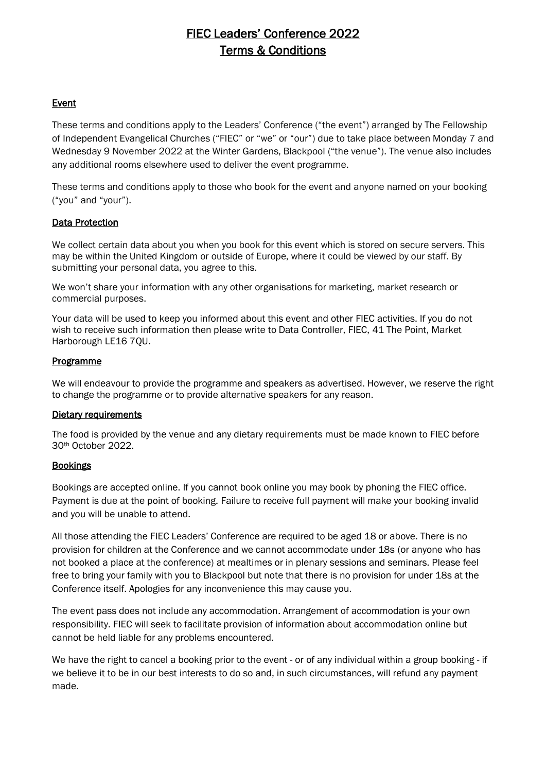# FIEC Leaders' Conference 2022 Terms & Conditions

# Event

These terms and conditions apply to the Leaders' Conference ("the event") arranged by The Fellowship of Independent Evangelical Churches ("FIEC" or "we" or "our") due to take place between Monday 7 and Wednesday 9 November 2022 at the Winter Gardens, Blackpool ("the venue"). The venue also includes any additional rooms elsewhere used to deliver the event programme.

These terms and conditions apply to those who book for the event and anyone named on your booking ("you" and "your").

# Data Protection

We collect certain data about you when you book for this event which is stored on secure servers. This may be within the United Kingdom or outside of Europe, where it could be viewed by our staff. By submitting your personal data, you agree to this.

We won't share your information with any other organisations for marketing, market research or commercial purposes.

Your data will be used to keep you informed about this event and other FIEC activities. If you do not wish to receive such information then please write to Data Controller, FIEC, 41 The Point, Market Harborough LE16 7QU.

#### **Programme**

We will endeavour to provide the programme and speakers as advertised. However, we reserve the right to change the programme or to provide alternative speakers for any reason.

#### Dietary requirements

The food is provided by the venue and any dietary requirements must be made known to FIEC before 30th October 2022.

#### **Bookings**

Bookings are accepted online. If you cannot book online you may book by phoning the FIEC office. Payment is due at the point of booking. Failure to receive full payment will make your booking invalid and you will be unable to attend.

All those attending the FIEC Leaders' Conference are required to be aged 18 or above. There is no provision for children at the Conference and we cannot accommodate under 18s (or anyone who has not booked a place at the conference) at mealtimes or in plenary sessions and seminars. Please feel free to bring your family with you to Blackpool but note that there is no provision for under 18s at the Conference itself. Apologies for any inconvenience this may cause you.

The event pass does not include any accommodation. Arrangement of accommodation is your own responsibility. FIEC will seek to facilitate provision of information about accommodation online but cannot be held liable for any problems encountered.

We have the right to cancel a booking prior to the event - or of any individual within a group booking - if we believe it to be in our best interests to do so and, in such circumstances, will refund any payment made.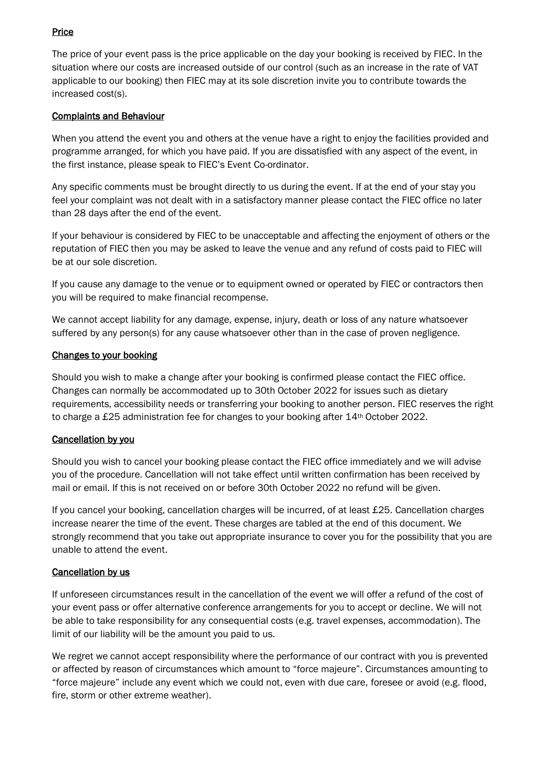# **Price**

The price of your event pass is the price applicable on the day your booking is received by FIEC. In the situation where our costs are increased outside of our control (such as an increase in the rate of VAT applicable to our booking) then FIEC may at its sole discretion invite you to contribute towards the increased cost(s).

# Complaints and Behaviour

When you attend the event you and others at the venue have a right to enjoy the facilities provided and programme arranged, for which you have paid. If you are dissatisfied with any aspect of the event, in the first instance, please speak to FIEC's Event Co-ordinator.

Any specific comments must be brought directly to us during the event. If at the end of your stay you feel your complaint was not dealt with in a satisfactory manner please contact the FIEC office no later than 28 days after the end of the event.

If your behaviour is considered by FIEC to be unacceptable and affecting the enjoyment of others or the reputation of FIEC then you may be asked to leave the venue and any refund of costs paid to FIEC will be at our sole discretion.

If you cause any damage to the venue or to equipment owned or operated by FIEC or contractors then you will be required to make financial recompense.

We cannot accept liability for any damage, expense, injury, death or loss of any nature whatsoever suffered by any person(s) for any cause whatsoever other than in the case of proven negligence.

# Changes to your booking

Should you wish to make a change after your booking is confirmed please contact the FIEC office. Changes can normally be accommodated up to 30th October 2022 for issues such as dietary requirements, accessibility needs or transferring your booking to another person. FIEC reserves the right to charge a £25 administration fee for changes to your booking after 14<sup>th</sup> October 2022.

# Cancellation by you

Should you wish to cancel your booking please contact the FIEC office immediately and we will advise you of the procedure. Cancellation will not take effect until written confirmation has been received by mail or email. If this is not received on or before 30th October 2022 no refund will be given.

If you cancel your booking, cancellation charges will be incurred, of at least £25. Cancellation charges increase nearer the time of the event. These charges are tabled at the end of this document. We strongly recommend that you take out appropriate insurance to cover you for the possibility that you are unable to attend the event.

# Cancellation by us

If unforeseen circumstances result in the cancellation of the event we will offer a refund of the cost of your event pass or offer alternative conference arrangements for you to accept or decline. We will not be able to take responsibility for any consequential costs (e.g. travel expenses, accommodation). The limit of our liability will be the amount you paid to us.

We regret we cannot accept responsibility where the performance of our contract with you is prevented or affected by reason of circumstances which amount to "force majeure". Circumstances amounting to "force majeure" include any event which we could not, even with due care, foresee or avoid (e.g. flood, fire, storm or other extreme weather).